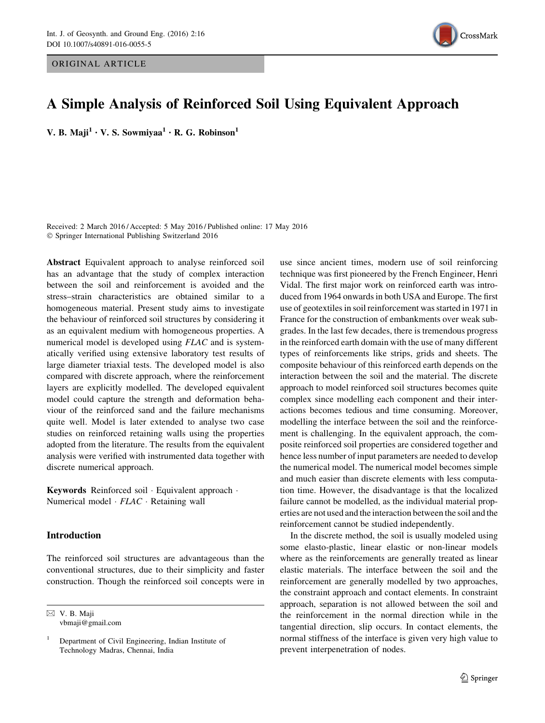ORIGINAL ARTICLE



# A Simple Analysis of Reinforced Soil Using Equivalent Approach

V. B. Maji $^1 \cdot$  V. S. Sowmiyaa $^1 \cdot$  R. G. Robinson<sup>1</sup>

Received: 2 March 2016 / Accepted: 5 May 2016 / Published online: 17 May 2016  $©$  Springer International Publishing Switzerland 2016

Abstract Equivalent approach to analyse reinforced soil has an advantage that the study of complex interaction between the soil and reinforcement is avoided and the stress–strain characteristics are obtained similar to a homogeneous material. Present study aims to investigate the behaviour of reinforced soil structures by considering it as an equivalent medium with homogeneous properties. A numerical model is developed using FLAC and is systematically verified using extensive laboratory test results of large diameter triaxial tests. The developed model is also compared with discrete approach, where the reinforcement layers are explicitly modelled. The developed equivalent model could capture the strength and deformation behaviour of the reinforced sand and the failure mechanisms quite well. Model is later extended to analyse two case studies on reinforced retaining walls using the properties adopted from the literature. The results from the equivalent analysis were verified with instrumented data together with discrete numerical approach.

Keywords Reinforced soil - Equivalent approach - Numerical model · FLAC · Retaining wall

# Introduction

The reinforced soil structures are advantageous than the conventional structures, due to their simplicity and faster construction. Though the reinforced soil concepts were in

& V. B. Maji vbmaji@gmail.com

use since ancient times, modern use of soil reinforcing technique was first pioneered by the French Engineer, Henri Vidal. The first major work on reinforced earth was introduced from 1964 onwards in both USA and Europe. The first use of geotextiles in soil reinforcement was started in 1971 in France for the construction of embankments over weak subgrades. In the last few decades, there is tremendous progress in the reinforced earth domain with the use of many different types of reinforcements like strips, grids and sheets. The composite behaviour of this reinforced earth depends on the interaction between the soil and the material. The discrete approach to model reinforced soil structures becomes quite complex since modelling each component and their interactions becomes tedious and time consuming. Moreover, modelling the interface between the soil and the reinforcement is challenging. In the equivalent approach, the composite reinforced soil properties are considered together and hence less number of input parameters are needed to develop the numerical model. The numerical model becomes simple and much easier than discrete elements with less computation time. However, the disadvantage is that the localized failure cannot be modelled, as the individual material properties are not used and the interaction between the soil and the reinforcement cannot be studied independently.

In the discrete method, the soil is usually modeled using some elasto-plastic, linear elastic or non-linear models where as the reinforcements are generally treated as linear elastic materials. The interface between the soil and the reinforcement are generally modelled by two approaches, the constraint approach and contact elements. In constraint approach, separation is not allowed between the soil and the reinforcement in the normal direction while in the tangential direction, slip occurs. In contact elements, the normal stiffness of the interface is given very high value to prevent interpenetration of nodes.

<sup>1</sup> Department of Civil Engineering, Indian Institute of Technology Madras, Chennai, India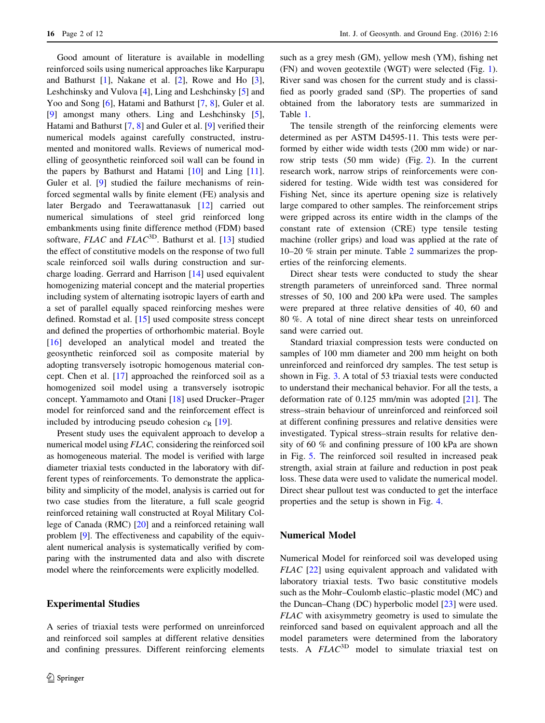Good amount of literature is available in modelling reinforced soils using numerical approaches like Karpurapu and Bathurst [[1\]](#page-10-0), Nakane et al. [\[2](#page-11-0)], Rowe and Ho [\[3](#page-11-0)], Leshchinsky and Vulova [\[4](#page-11-0)], Ling and Leshchinsky [[5\]](#page-11-0) and Yoo and Song [\[6](#page-11-0)], Hatami and Bathurst [\[7](#page-11-0), [8\]](#page-11-0), Guler et al. [\[9](#page-11-0)] amongst many others. Ling and Leshchinsky [\[5](#page-11-0)], Hatami and Bathurst [\[7](#page-11-0), [8](#page-11-0)] and Guler et al. [\[9](#page-11-0)] verified their numerical models against carefully constructed, instrumented and monitored walls. Reviews of numerical modelling of geosynthetic reinforced soil wall can be found in the papers by Bathurst and Hatami  $[10]$  $[10]$  and Ling  $[11]$  $[11]$ . Guler et al. [\[9](#page-11-0)] studied the failure mechanisms of reinforced segmental walls by finite element (FE) analysis and later Bergado and Teerawattanasuk [[12\]](#page-11-0) carried out numerical simulations of steel grid reinforced long embankments using finite difference method (FDM) based software,  $FLAC$  and  $FLAC^{3D}$ . Bathurst et al. [\[13](#page-11-0)] studied the effect of constitutive models on the response of two full scale reinforced soil walls during construction and surcharge loading. Gerrard and Harrison [[14\]](#page-11-0) used equivalent homogenizing material concept and the material properties including system of alternating isotropic layers of earth and a set of parallel equally spaced reinforcing meshes were defined. Romstad et al. [[15\]](#page-11-0) used composite stress concept and defined the properties of orthorhombic material. Boyle [\[16](#page-11-0)] developed an analytical model and treated the geosynthetic reinforced soil as composite material by adopting transversely isotropic homogenous material concept. Chen et al. [[17\]](#page-11-0) approached the reinforced soil as a homogenized soil model using a transversely isotropic concept. Yammamoto and Otani [\[18](#page-11-0)] used Drucker–Prager model for reinforced sand and the reinforcement effect is included by introducing pseudo cohesion  $c_R$  [\[19](#page-11-0)].

Present study uses the equivalent approach to develop a numerical model using FLAC, considering the reinforced soil as homogeneous material. The model is verified with large diameter triaxial tests conducted in the laboratory with different types of reinforcements. To demonstrate the applicability and simplicity of the model, analysis is carried out for two case studies from the literature, a full scale geogrid reinforced retaining wall constructed at Royal Military College of Canada (RMC) [\[20](#page-11-0)] and a reinforced retaining wall problem [\[9](#page-11-0)]. The effectiveness and capability of the equivalent numerical analysis is systematically verified by comparing with the instrumented data and also with discrete model where the reinforcements were explicitly modelled.

## Experimental Studies

A series of triaxial tests were performed on unreinforced and reinforced soil samples at different relative densities and confining pressures. Different reinforcing elements such as a grey mesh (GM), yellow mesh (YM), fishing net (FN) and woven geotextile (WGT) were selected (Fig. [1](#page-2-0)). River sand was chosen for the current study and is classified as poorly graded sand (SP). The properties of sand obtained from the laboratory tests are summarized in Table [1](#page-2-0).

The tensile strength of the reinforcing elements were determined as per ASTM D4595-11. This tests were performed by either wide width tests (200 mm wide) or narrow strip tests (50 mm wide) (Fig. [2\)](#page-2-0). In the current research work, narrow strips of reinforcements were considered for testing. Wide width test was considered for Fishing Net, since its aperture opening size is relatively large compared to other samples. The reinforcement strips were gripped across its entire width in the clamps of the constant rate of extension (CRE) type tensile testing machine (roller grips) and load was applied at the rate of 10–20 % strain per minute. Table [2](#page-2-0) summarizes the properties of the reinforcing elements.

Direct shear tests were conducted to study the shear strength parameters of unreinforced sand. Three normal stresses of 50, 100 and 200 kPa were used. The samples were prepared at three relative densities of 40, 60 and 80 %. A total of nine direct shear tests on unreinforced sand were carried out.

Standard triaxial compression tests were conducted on samples of 100 mm diameter and 200 mm height on both unreinforced and reinforced dry samples. The test setup is shown in Fig. [3.](#page-3-0) A total of 53 triaxial tests were conducted to understand their mechanical behavior. For all the tests, a deformation rate of 0.125 mm/min was adopted [\[21](#page-11-0)]. The stress–strain behaviour of unreinforced and reinforced soil at different confining pressures and relative densities were investigated. Typical stress–strain results for relative density of 60 % and confining pressure of 100 kPa are shown in Fig. [5.](#page-3-0) The reinforced soil resulted in increased peak strength, axial strain at failure and reduction in post peak loss. These data were used to validate the numerical model. Direct shear pullout test was conducted to get the interface properties and the setup is shown in Fig. [4.](#page-3-0)

# Numerical Model

Numerical Model for reinforced soil was developed using FLAC [[22\]](#page-11-0) using equivalent approach and validated with laboratory triaxial tests. Two basic constitutive models such as the Mohr–Coulomb elastic–plastic model (MC) and the Duncan–Chang (DC) hyperbolic model [\[23](#page-11-0)] were used. FLAC with axisymmetry geometry is used to simulate the reinforced sand based on equivalent approach and all the model parameters were determined from the laboratory tests. A  $F L A C^{3D}$  model to simulate triaxial test on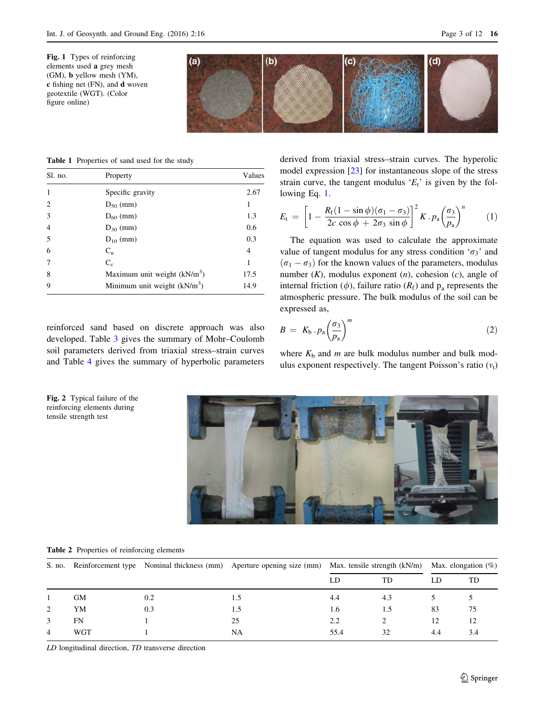Fig. 1 Types of reinforcing elements used a grey mesh (GM), b yellow mesh (YM), c fishing net (FN), and d woven geotextile (WGT). (Color figure online)

<span id="page-2-0"></span>

Table 1 Properties of sand used for the study

| Sl. no.        | Property                      | Values |
|----------------|-------------------------------|--------|
|                | Specific gravity              | 2.67   |
| $\overline{2}$ | $D_{50}$ (mm)                 | 1      |
| 3              | $D_{60}$ (mm)                 | 1.3    |
| 4              | $D_{30}$ (mm)                 | 0.6    |
| 5              | $D_{10}$ (mm)                 | 0.3    |
| 6              | $C_{\rm u}$                   | 4      |
|                | $C_c$                         | 1      |
| 8              | Maximum unit weight $(kN/m3)$ | 17.5   |
| 9              | Minimum unit weight $(kN/m3)$ | 14.9   |

reinforced sand based on discrete approach was also developed. Table [3](#page-4-0) gives the summary of Mohr–Coulomb soil parameters derived from triaxial stress–strain curves and Table [4](#page-4-0) gives the summary of hyperbolic parameters

derived from triaxial stress–strain curves. The hyperolic model expression [\[23](#page-11-0)] for instantaneous slope of the stress strain curve, the tangent modulus ' $E_t$ ' is given by the following Eq. 1.

$$
E_{\rm t} = \left[1 - \frac{R_{\rm f}(1-\sin\phi)(\sigma_1-\sigma_3)}{2c\cos\phi + 2\sigma_3\sin\phi}\right]^2 K \cdot p_{\rm a} \left(\frac{\sigma_3}{p_{\rm a}}\right)^n \tag{1}
$$

The equation was used to calculate the approximate value of tangent modulus for any stress condition ' $\sigma_3$ ' and  $(\sigma_1 - \sigma_3)$  for the known values of the parameters, modulus number  $(K)$ , modulus exponent  $(n)$ , cohesion  $(c)$ , angle of internal friction  $(\phi)$ , failure ratio  $(R_f)$  and  $p_a$  represents the atmospheric pressure. The bulk modulus of the soil can be expressed as,

$$
B = K_{\rm b} \cdot p_{\rm a} \left(\frac{\sigma_3}{p_{\rm a}}\right)^m \tag{2}
$$

where  $K_b$  and m are bulk modulus number and bulk modulus exponent respectively. The tangent Poisson's ratio  $(v_t)$ 



Table 2 Properties of reinforcing elements

Fig. 2 Typical failure of the reinforcing elements during tensile strength test

| S. no. |     |     | Reinforcement type Nominal thickness (mm) Aperture opening size (mm) | Max. tensile strength $(kN/m)$ |     | Max. elongation $(\%)$ |     |
|--------|-----|-----|----------------------------------------------------------------------|--------------------------------|-----|------------------------|-----|
|        |     |     |                                                                      | LD                             | TD  |                        | TD  |
|        | GМ  | 0.2 | 1.5                                                                  | 4.4                            | 4.3 |                        |     |
| 2      | YM  | 0.3 | 1.5                                                                  | 1.6                            | 1.5 | 83                     | 75  |
| 3      | FN  |     | 25                                                                   | 2.2                            |     | 12                     | 12  |
| 4      | WGT |     | NA                                                                   | 55.4                           | 32  | 4.4                    | 3.4 |

LD longitudinal direction, TD transverse direction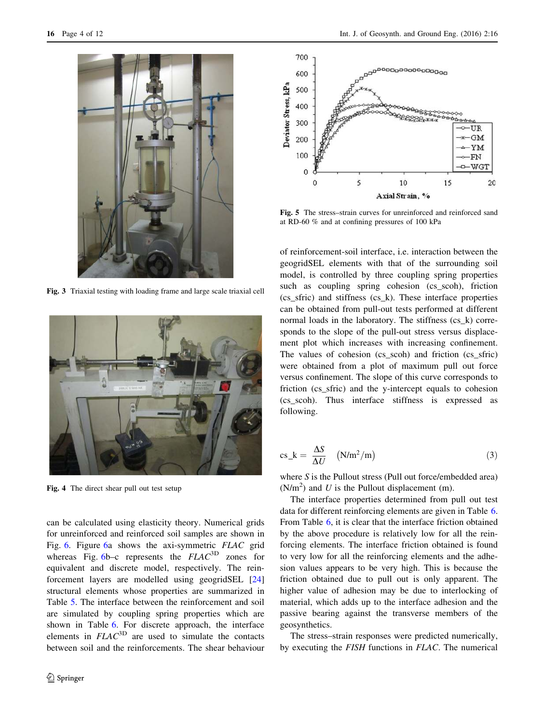<span id="page-3-0"></span>

Fig. 3 Triaxial testing with loading frame and large scale triaxial cell



Fig. 4 The direct shear pull out test setup

can be calculated using elasticity theory. Numerical grids for unreinforced and reinforced soil samples are shown in Fig. [6](#page-4-0). Figure [6](#page-4-0)a shows the axi-symmetric FLAC grid whereas Fig. [6b](#page-4-0)–c represents the  $FLAC<sup>3D</sup>$  zones for equivalent and discrete model, respectively. The reinforcement layers are modelled using geogridSEL [[24\]](#page-11-0) structural elements whose properties are summarized in Table [5](#page-4-0). The interface between the reinforcement and soil are simulated by coupling spring properties which are shown in Table [6](#page-5-0). For discrete approach, the interface elements in  $FLAC^{3D}$  are used to simulate the contacts between soil and the reinforcements. The shear behaviour



Fig. 5 The stress–strain curves for unreinforced and reinforced sand at RD-60 % and at confining pressures of 100 kPa

of reinforcement-soil interface, i.e. interaction between the geogridSEL elements with that of the surrounding soil model, is controlled by three coupling spring properties such as coupling spring cohesion (cs scoh), friction (cs sfric) and stiffness (cs  $k$ ). These interface properties can be obtained from pull-out tests performed at different normal loads in the laboratory. The stiffness (cs\_k) corresponds to the slope of the pull-out stress versus displacement plot which increases with increasing confinement. The values of cohesion (cs\_scoh) and friction (cs\_sfric) were obtained from a plot of maximum pull out force versus confinement. The slope of this curve corresponds to friction (cs\_sfric) and the y-intercept equals to cohesion (cs\_scoh). Thus interface stiffness is expressed as following.

$$
cs_k = \frac{\Delta S}{\Delta U} \quad (N/m^2/m) \tag{3}
$$

where S is the Pullout stress (Pull out force/embedded area)  $(N/m<sup>2</sup>)$  and U is the Pullout displacement (m).

The interface properties determined from pull out test data for different reinforcing elements are given in Table [6.](#page-5-0) From Table [6,](#page-5-0) it is clear that the interface friction obtained by the above procedure is relatively low for all the reinforcing elements. The interface friction obtained is found to very low for all the reinforcing elements and the adhesion values appears to be very high. This is because the friction obtained due to pull out is only apparent. The higher value of adhesion may be due to interlocking of material, which adds up to the interface adhesion and the passive bearing against the transverse members of the geosynthetics.

The stress–strain responses were predicted numerically, by executing the FISH functions in FLAC. The numerical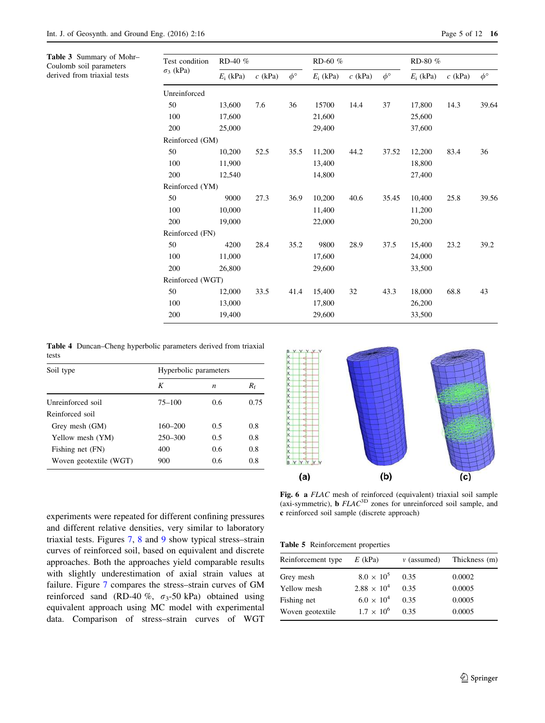<span id="page-4-0"></span>Table 3 Summary of Mohr– Coulomb soil parameters derived from triaxial tests

| Test condition   | RD-40 %     |           |                | RD-60 %     |           |                | RD-80 %     |           |                |
|------------------|-------------|-----------|----------------|-------------|-----------|----------------|-------------|-----------|----------------|
| $\sigma_3$ (kPa) | $E_i$ (kPa) | $c$ (kPa) | $\phi^{\circ}$ | $E_i$ (kPa) | $c$ (kPa) | $\phi^{\circ}$ | $E_i$ (kPa) | $c$ (kPa) | $\phi^{\circ}$ |
| Unreinforced     |             |           |                |             |           |                |             |           |                |
| 50               | 13,600      | 7.6       | 36             | 15700       | 14.4      | 37             | 17,800      | 14.3      | 39.64          |
| 100              | 17,600      |           |                | 21,600      |           |                | 25,600      |           |                |
| 200              | 25,000      |           |                | 29,400      |           |                | 37,600      |           |                |
| Reinforced (GM)  |             |           |                |             |           |                |             |           |                |
| 50               | 10,200      | 52.5      | 35.5           | 11,200      | 44.2      | 37.52          | 12,200      | 83.4      | 36             |
| 100              | 11,900      |           |                | 13,400      |           |                | 18,800      |           |                |
| 200              | 12,540      |           |                | 14,800      |           |                | 27,400      |           |                |
| Reinforced (YM)  |             |           |                |             |           |                |             |           |                |
| 50               | 9000        | 27.3      | 36.9           | 10,200      | 40.6      | 35.45          | 10,400      | 25.8      | 39.56          |
| 100              | 10,000      |           |                | 11,400      |           |                | 11,200      |           |                |
| 200              | 19,000      |           |                | 22,000      |           |                | 20,200      |           |                |
| Reinforced (FN)  |             |           |                |             |           |                |             |           |                |
| 50               | 4200        | 28.4      | 35.2           | 9800        | 28.9      | 37.5           | 15,400      | 23.2      | 39.2           |
| 100              | 11,000      |           |                | 17,600      |           |                | 24,000      |           |                |
| 200              | 26,800      |           |                | 29,600      |           |                | 33,500      |           |                |
| Reinforced (WGT) |             |           |                |             |           |                |             |           |                |
| 50               | 12,000      | 33.5      | 41.4           | 15,400      | 32        | 43.3           | 18,000      | 68.8      | 43             |
| 100              | 13,000      |           |                | 17,800      |           |                | 26,200      |           |                |
| 200              | 19,400      |           |                | 29,600      |           |                | 33,500      |           |                |
|                  |             |           |                |             |           |                |             |           |                |

Table 4 Duncan–Cheng hyperbolic parameters derived from triaxial tests

| Soil type              | Hyperbolic parameters |     |             |  |  |
|------------------------|-----------------------|-----|-------------|--|--|
|                        | K                     | n   | $R_{\rm f}$ |  |  |
| Unreinforced soil      | $75 - 100$            | 0.6 | 0.75        |  |  |
| Reinforced soil        |                       |     |             |  |  |
| Grey mesh (GM)         | 160–200               | 0.5 | 0.8         |  |  |
| Yellow mesh (YM)       | $250 - 300$           | 0.5 | 0.8         |  |  |
| Fishing net (FN)       | 400                   | 0.6 | 0.8         |  |  |
| Woven geotextile (WGT) | 900                   | 0.6 | 0.8         |  |  |



experiments were repeated for different confining pressures and different relative densities, very similar to laboratory triaxial tests. Figures [7,](#page-5-0) [8](#page-5-0) and [9](#page-5-0) show typical stress–strain curves of reinforced soil, based on equivalent and discrete approaches. Both the approaches yield comparable results with slightly underestimation of axial strain values at failure. Figure [7](#page-5-0) compares the stress–strain curves of GM reinforced sand (RD-40 %,  $\sigma_3$ -50 kPa) obtained using equivalent approach using MC model with experimental data. Comparison of stress–strain curves of WGT

Fig. 6 a FLAC mesh of reinforced (equivalent) triaxial soil sample (axi-symmetric), **b**  $FLAC<sup>3D</sup>$  zones for unreinforced soil sample, and c reinforced soil sample (discrete approach)

Table 5 Reinforcement properties

| Reinforcement type | $E$ (kPa)              | $\nu$ (assumed) | Thickness (m) |
|--------------------|------------------------|-----------------|---------------|
| Grey mesh          | $8.0 \times 10^5$ 0.35 |                 | 0.0002        |
| Yellow mesh        | $2.88 \times 10^{4}$   | 0.35            | 0.0005        |
| Fishing net        | $6.0 \times 10^{4}$    | 0.35            | 0.0005        |
| Woven geotextile   | $1.7 \times 10^6$ 0.35 |                 | 0.0005        |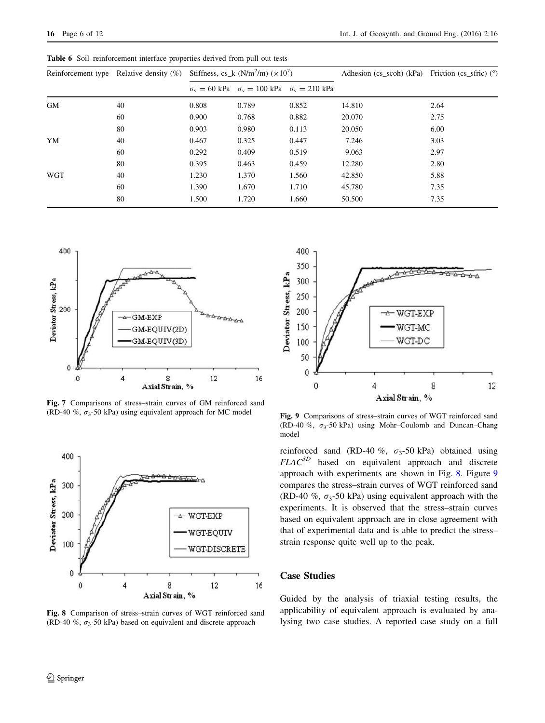|     | Reinforcement type Relative density $(\%)$ | Stiffness, cs_k ( $N/m^2/m$ ) ( $\times 10^7$ ) |                                                               |       | Adhesion (cs_scoh) (kPa) Friction (cs_sfric) $(°)$ |      |  |
|-----|--------------------------------------------|-------------------------------------------------|---------------------------------------------------------------|-------|----------------------------------------------------|------|--|
|     |                                            |                                                 | $\sigma_v = 60$ kPa $\sigma_v = 100$ kPa $\sigma_v = 210$ kPa |       |                                                    |      |  |
| GM  | 40                                         | 0.808                                           | 0.789                                                         | 0.852 | 14.810                                             | 2.64 |  |
|     | 60                                         | 0.900                                           | 0.768                                                         | 0.882 | 20.070                                             | 2.75 |  |
|     | 80                                         | 0.903                                           | 0.980                                                         | 0.113 | 20.050                                             | 6.00 |  |
| YM  | 40                                         | 0.467                                           | 0.325                                                         | 0.447 | 7.246                                              | 3.03 |  |
|     | 60                                         | 0.292                                           | 0.409                                                         | 0.519 | 9.063                                              | 2.97 |  |
|     | 80                                         | 0.395                                           | 0.463                                                         | 0.459 | 12.280                                             | 2.80 |  |
| WGT | 40                                         | 1.230                                           | 1.370                                                         | 1.560 | 42.850                                             | 5.88 |  |
|     | 60                                         | 1.390                                           | 1.670                                                         | 1.710 | 45.780                                             | 7.35 |  |
|     | 80                                         | 1.500                                           | 1.720                                                         | 1.660 | 50.500                                             | 7.35 |  |

<span id="page-5-0"></span>Table 6 Soil–reinforcement interface properties derived from pull out tests



Fig. 7 Comparisons of stress–strain curves of GM reinforced sand (RD-40 %,  $\sigma_3$ -50 kPa) using equivalent approach for MC model



Fig. 8 Comparison of stress–strain curves of WGT reinforced sand (RD-40 %,  $\sigma_3$ -50 kPa) based on equivalent and discrete approach



Fig. 9 Comparisons of stress–strain curves of WGT reinforced sand (RD-40 %,  $\sigma_3$ -50 kPa) using Mohr–Coulomb and Duncan–Chang model

reinforced sand (RD-40 %,  $\sigma_3$ -50 kPa) obtained using  $F L A C^{3D}$  based on equivalent approach and discrete approach with experiments are shown in Fig. 8. Figure 9 compares the stress–strain curves of WGT reinforced sand (RD-40 %,  $\sigma_3$ -50 kPa) using equivalent approach with the experiments. It is observed that the stress–strain curves based on equivalent approach are in close agreement with that of experimental data and is able to predict the stress– strain response quite well up to the peak.

# Case Studies

Guided by the analysis of triaxial testing results, the applicability of equivalent approach is evaluated by analysing two case studies. A reported case study on a full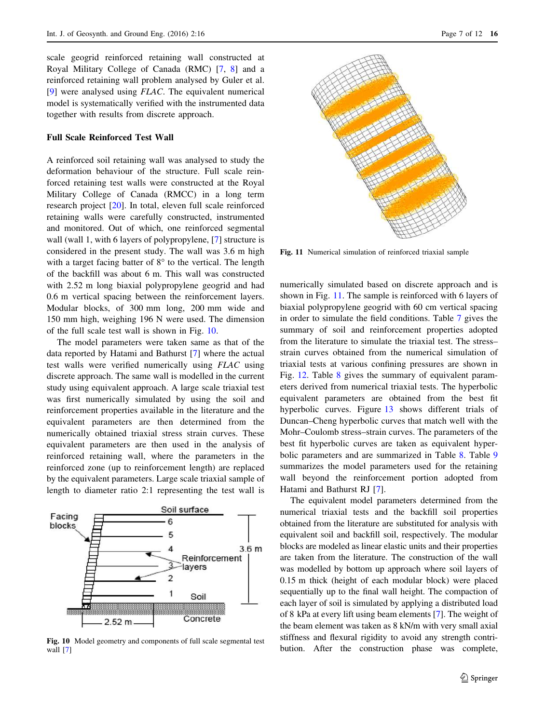scale geogrid reinforced retaining wall constructed at Royal Military College of Canada (RMC) [\[7](#page-11-0), [8\]](#page-11-0) and a reinforced retaining wall problem analysed by Guler et al. [\[9](#page-11-0)] were analysed using FLAC. The equivalent numerical model is systematically verified with the instrumented data together with results from discrete approach.

## Full Scale Reinforced Test Wall

A reinforced soil retaining wall was analysed to study the deformation behaviour of the structure. Full scale reinforced retaining test walls were constructed at the Royal Military College of Canada (RMCC) in a long term research project [[20](#page-11-0)]. In total, eleven full scale reinforced retaining walls were carefully constructed, instrumented and monitored. Out of which, one reinforced segmental wall (wall 1, with 6 layers of polypropylene, [\[7](#page-11-0)] structure is considered in the present study. The wall was 3.6 m high with a target facing batter of  $8^\circ$  to the vertical. The length of the backfill was about 6 m. This wall was constructed with 2.52 m long biaxial polypropylene geogrid and had 0.6 m vertical spacing between the reinforcement layers. Modular blocks, of 300 mm long, 200 mm wide and 150 mm high, weighing 196 N were used. The dimension of the full scale test wall is shown in Fig. 10.

The model parameters were taken same as that of the data reported by Hatami and Bathurst [[7\]](#page-11-0) where the actual test walls were verified numerically using FLAC using discrete approach. The same wall is modelled in the current study using equivalent approach. A large scale triaxial test was first numerically simulated by using the soil and reinforcement properties available in the literature and the equivalent parameters are then determined from the numerically obtained triaxial stress strain curves. These equivalent parameters are then used in the analysis of reinforced retaining wall, where the parameters in the reinforced zone (up to reinforcement length) are replaced by the equivalent parameters. Large scale triaxial sample of length to diameter ratio 2:1 representing the test wall is



Fig. 10 Model geometry and components of full scale segmental test wall [\[7\]](#page-11-0)



Fig. 11 Numerical simulation of reinforced triaxial sample

numerically simulated based on discrete approach and is shown in Fig. 11. The sample is reinforced with 6 layers of biaxial polypropylene geogrid with 60 cm vertical spacing in order to simulate the field conditions. Table [7](#page-7-0) gives the summary of soil and reinforcement properties adopted from the literature to simulate the triaxial test. The stress– strain curves obtained from the numerical simulation of triaxial tests at various confining pressures are shown in Fig. [12](#page-7-0). Table [8](#page-7-0) gives the summary of equivalent parameters derived from numerical triaxial tests. The hyperbolic equivalent parameters are obtained from the best fit hyperbolic curves. Figure [13](#page-8-0) shows different trials of Duncan–Cheng hyperbolic curves that match well with the Mohr–Coulomb stress–strain curves. The parameters of the best fit hyperbolic curves are taken as equivalent hyperbolic parameters and are summarized in Table [8.](#page-7-0) Table [9](#page-8-0) summarizes the model parameters used for the retaining wall beyond the reinforcement portion adopted from Hatami and Bathurst RJ [\[7](#page-11-0)].

The equivalent model parameters determined from the numerical triaxial tests and the backfill soil properties obtained from the literature are substituted for analysis with equivalent soil and backfill soil, respectively. The modular blocks are modeled as linear elastic units and their properties are taken from the literature. The construction of the wall was modelled by bottom up approach where soil layers of 0.15 m thick (height of each modular block) were placed sequentially up to the final wall height. The compaction of each layer of soil is simulated by applying a distributed load of 8 kPa at every lift using beam elements [[7](#page-11-0)]. The weight of the beam element was taken as 8 kN/m with very small axial stiffness and flexural rigidity to avoid any strength contribution. After the construction phase was complete,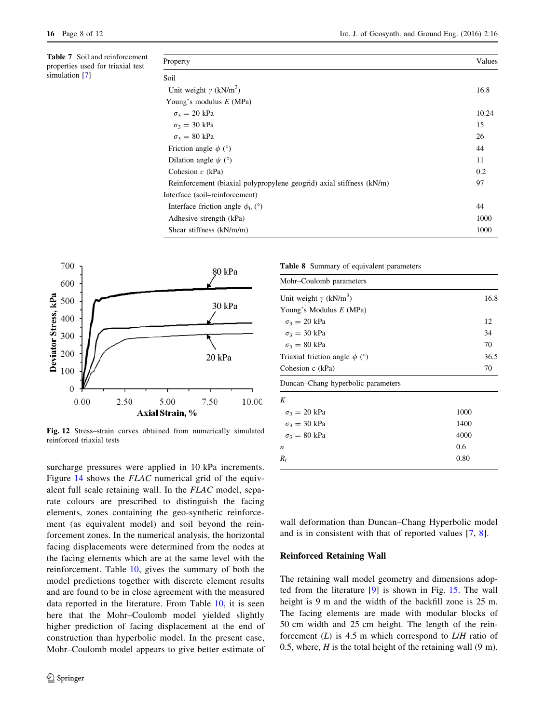<span id="page-7-0"></span>

|                | <b>Table 7</b> Soil and reinforcement |  |
|----------------|---------------------------------------|--|
|                | properties used for triaxial test     |  |
| simulation [7] |                                       |  |

| Property                                                             | Values |
|----------------------------------------------------------------------|--------|
| Soil                                                                 |        |
| Unit weight $\gamma$ (kN/m <sup>3</sup> )                            | 16.8   |
| Young's modulus $E$ (MPa)                                            |        |
| $\sigma_3 = 20 \text{ kPa}$                                          | 10.24  |
| $\sigma_3 = 30 \text{ kPa}$                                          | 15     |
| $\sigma_3 = 80$ kPa                                                  | 26     |
| Friction angle $\phi$ (°)                                            | 44     |
| Dilation angle $\psi$ (°)                                            | 11     |
| Cohesion $c$ (kPa)                                                   | 0.2    |
| Reinforcement (biaxial polypropylene geogrid) axial stiffness (kN/m) | 97     |
| Interface (soil–reinforcement)                                       |        |
| Interface friction angle $\phi_h$ (°)                                | 44     |
| Adhesive strength (kPa)                                              | 1000   |
| Shear stiffness (kN/m/m)                                             | 1000   |



Fig. 12 Stress–strain curves obtained from numerically simulated reinforced triaxial tests

surcharge pressures were applied in 10 kPa increments. Figure [14](#page-9-0) shows the *FLAC* numerical grid of the equivalent full scale retaining wall. In the FLAC model, separate colours are prescribed to distinguish the facing elements, zones containing the geo-synthetic reinforcement (as equivalent model) and soil beyond the reinforcement zones. In the numerical analysis, the horizontal facing displacements were determined from the nodes at the facing elements which are at the same level with the reinforcement. Table [10,](#page-9-0) gives the summary of both the model predictions together with discrete element results and are found to be in close agreement with the measured data reported in the literature. From Table [10](#page-9-0), it is seen here that the Mohr–Coulomb model yielded slightly higher prediction of facing displacement at the end of construction than hyperbolic model. In the present case, Mohr–Coulomb model appears to give better estimate of

Table 8 Summary of equivalent parameters

| Mohr-Coulomb parameters                   |      |      |
|-------------------------------------------|------|------|
| Unit weight $\gamma$ (kN/m <sup>3</sup> ) |      | 16.8 |
| Young's Modulus $E$ (MPa)                 |      |      |
| $\sigma_3 = 20 \text{ kPa}$               |      | 12   |
| $\sigma_3 = 30 \text{ kPa}$               |      | 34   |
| $\sigma_3 = 80$ kPa                       |      | 70   |
| Triaxial friction angle $\phi$ (°)        |      | 36.5 |
| Cohesion c (kPa)                          |      | 70   |
| Duncan–Chang hyperbolic parameters        |      |      |
| K                                         |      |      |
| $\sigma_3 = 20 \text{ kPa}$               | 1000 |      |
| $\sigma_3 = 30 \text{ kPa}$               | 1400 |      |
| $\sigma_3 = 80$ kPa                       | 4000 |      |
| n                                         | 0.6  |      |
| $R_{\rm f}$                               | 0.80 |      |
|                                           |      |      |

wall deformation than Duncan–Chang Hyperbolic model and is in consistent with that of reported values [[7,](#page-11-0) [8\]](#page-11-0).

#### Reinforced Retaining Wall

The retaining wall model geometry and dimensions adopted from the literature [\[9](#page-11-0)] is shown in Fig. [15.](#page-9-0) The wall height is 9 m and the width of the backfill zone is 25 m. The facing elements are made with modular blocks of 50 cm width and 25 cm height. The length of the reinforcement  $(L)$  is 4.5 m which correspond to  $L/H$  ratio of 0.5, where,  $H$  is the total height of the retaining wall (9 m).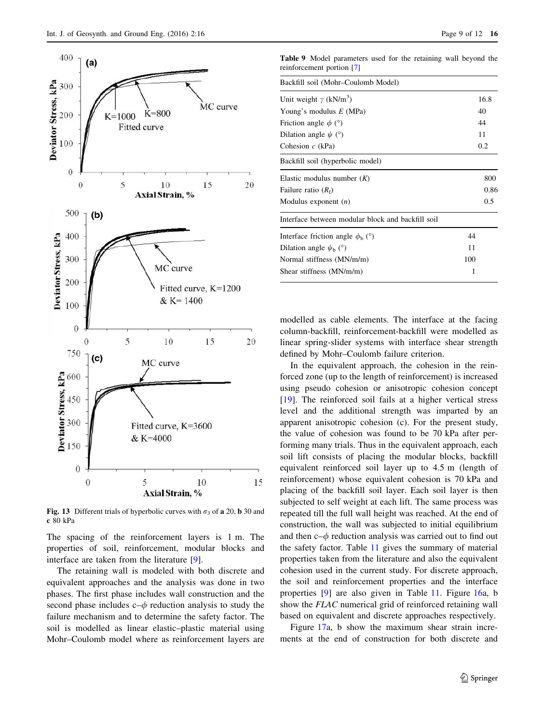<span id="page-8-0"></span>

Fig. 13 Different trials of hyperbolic curves with  $\sigma_3$  of a 20, b 30 and c 80 kPa

The spacing of the reinforcement layers is 1 m. The properties of soil, reinforcement, modular blocks and interface are taken from the literature [\[9](#page-11-0)].

The retaining wall is modeled with both discrete and equivalent approaches and the analysis was done in two phases. The first phase includes wall construction and the second phase includes  $c-\phi$  reduction analysis to study the failure mechanism and to determine the safety factor. The soil is modelled as linear elastic–plastic material using Mohr–Coulomb model where as reinforcement layers are

Table 9 Model parameters used for the retaining wall beyond the reinforcement portion [[7](#page-11-0)]

| Backfill soil (Mohr-Coulomb Model)                |      |
|---------------------------------------------------|------|
| Unit weight $\gamma$ (kN/m <sup>3</sup> )         | 16.8 |
| Young's modulus $E(MPa)$                          | 40   |
| Friction angle $\phi$ (°)                         | 44   |
| Dilation angle $\psi$ (°)                         | 11   |
| Cohesion $c$ (kPa)                                | 0.2  |
| Backfill soil (hyperbolic model)                  |      |
| Elastic modulus number $(K)$                      | 800  |
| Failure ratio $(R_f)$                             | 0.86 |
| Modulus exponent $(n)$                            | 0.5  |
| Interface between modular block and backfill soil |      |
| Interface friction angle $\phi_{\rm b}$ (°)       | 44   |
| Dilation angle $\psi_{b}$ (°)                     | 11   |
| Normal stiffness (MN/m/m)                         | 100  |
| Shear stiffness (MN/m/m)                          | 1    |
|                                                   |      |

modelled as cable elements. The interface at the facing column-backfill, reinforcement-backfill were modelled as linear spring-slider systems with interface shear strength defined by Mohr–Coulomb failure criterion.

In the equivalent approach, the cohesion in the reinforced zone (up to the length of reinforcement) is increased using pseudo cohesion or anisotropic cohesion concept [\[19](#page-11-0)]. The reinforced soil fails at a higher vertical stress level and the additional strength was imparted by an apparent anisotropic cohesion (c). For the present study, the value of cohesion was found to be 70 kPa after performing many trials. Thus in the equivalent approach, each soil lift consists of placing the modular blocks, backfill equivalent reinforced soil layer up to 4.5 m (length of reinforcement) whose equivalent cohesion is 70 kPa and placing of the backfill soil layer. Each soil layer is then subjected to self weight at each lift. The same process was repeated till the full wall height was reached. At the end of construction, the wall was subjected to initial equilibrium and then  $c-\phi$  reduction analysis was carried out to find out the safety factor. Table [11](#page-9-0) gives the summary of material properties taken from the literature and also the equivalent cohesion used in the current study. For discrete approach, the soil and reinforcement properties and the interface properties [\[9](#page-11-0)] are also given in Table [11.](#page-9-0) Figure [16a](#page-10-0), b show the FLAC numerical grid of reinforced retaining wall based on equivalent and discrete approaches respectively.

Figure [17a](#page-10-0), b show the maximum shear strain increments at the end of construction for both discrete and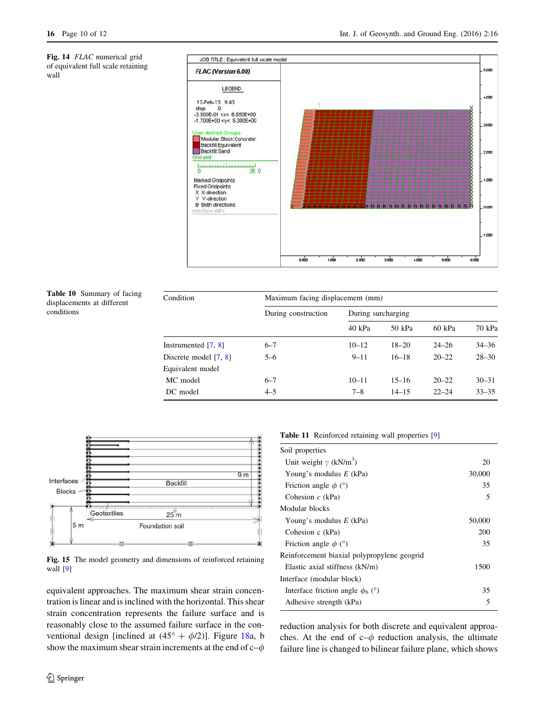<span id="page-9-0"></span>Fig. 14 FLAC numerical grid of equivalent full scale retaining wall





Table 10 Summary of facing displacements at different conditions

| Condition             | Maximum facing displacement (mm) |                    |           |           |           |  |  |  |
|-----------------------|----------------------------------|--------------------|-----------|-----------|-----------|--|--|--|
|                       | During construction              | During surcharging |           |           |           |  |  |  |
|                       |                                  | 40 kPa             | 50 kPa    | 60 kPa    | 70 kPa    |  |  |  |
| Instrumented $[7, 8]$ | $6 - 7$                          | $10 - 12$          | $18 - 20$ | $24 - 26$ | $34 - 36$ |  |  |  |
| Discrete model [7, 8] | $5 - 6$                          | $9 - 11$           | $16 - 18$ | $20 - 22$ | $28 - 30$ |  |  |  |
| Equivalent model      |                                  |                    |           |           |           |  |  |  |
| MC model              | $6 - 7$                          | $10 - 11$          | $15 - 16$ | $20 - 22$ | $30 - 31$ |  |  |  |
| DC model              | $4 - 5$                          | $7 - 8$            | $14 - 15$ | $22 - 24$ | $33 - 35$ |  |  |  |



Fig. 15 The model geometry and dimensions of reinforced retaining wall [\[9\]](#page-11-0)

equivalent approaches. The maximum shear strain concentration is linear and is inclined with the horizontal. This shear strain concentration represents the failure surface and is reasonably close to the assumed failure surface in the conventional design [inclined at  $(45^{\circ} + \phi/2)$ ]. Figure [18a](#page-10-0), b show the maximum shear strain increments at the end of  $c-\phi$ 

### Table 11 Reinforced retaining wall properties [[9](#page-11-0)]

| Soil properties                             |        |
|---------------------------------------------|--------|
| Unit weight $\gamma$ (kN/m <sup>3</sup> )   | 20     |
| Young's modulus $E$ (kPa)                   | 30,000 |
| Friction angle $\phi$ (°)                   | 35     |
| Cohesion $c$ (kPa)                          | 5      |
| Modular blocks                              |        |
| Young's modulus $E$ (kPa)                   | 50,000 |
| Cohesion c (kPa)                            | 200    |
| Friction angle $\phi$ (°)                   | 35     |
| Reinforcement biaxial polypropylene geogrid |        |
| Elastic axial stiffness (kN/m)              | 1500   |
| Interface (modular block)                   |        |
| Interface friction angle $\phi_{\rm b}$ (°) | 35     |
| Adhesive strength (kPa)                     | 5      |

reduction analysis for both discrete and equivalent approaches. At the end of  $c-\phi$  reduction analysis, the ultimate failure line is changed to bilinear failure plane, which shows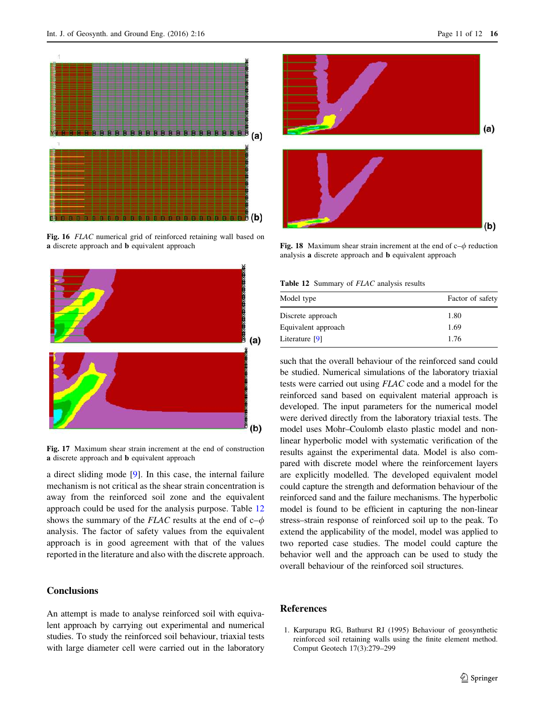<span id="page-10-0"></span>

Fig. 16 FLAC numerical grid of reinforced retaining wall based on a discrete approach and b equivalent approach





a direct sliding mode [\[9](#page-11-0)]. In this case, the internal failure mechanism is not critical as the shear strain concentration is away from the reinforced soil zone and the equivalent approach could be used for the analysis purpose. Table 12 shows the summary of the FLAC results at the end of  $c-\phi$ analysis. The factor of safety values from the equivalent approach is in good agreement with that of the values reported in the literature and also with the discrete approach.

# **Conclusions**

An attempt is made to analyse reinforced soil with equivalent approach by carrying out experimental and numerical studies. To study the reinforced soil behaviour, triaxial tests with large diameter cell were carried out in the laboratory



Fig. 18 Maximum shear strain increment at the end of  $c-\phi$  reduction analysis a discrete approach and b equivalent approach

Table 12 Summary of FLAC analysis results

| Model type          | Factor of safety |
|---------------------|------------------|
| Discrete approach   | 1.80             |
| Equivalent approach | 1.69             |
| Literature $[9]$    | 1.76             |

such that the overall behaviour of the reinforced sand could be studied. Numerical simulations of the laboratory triaxial tests were carried out using FLAC code and a model for the reinforced sand based on equivalent material approach is developed. The input parameters for the numerical model were derived directly from the laboratory triaxial tests. The model uses Mohr–Coulomb elasto plastic model and nonlinear hyperbolic model with systematic verification of the results against the experimental data. Model is also compared with discrete model where the reinforcement layers are explicitly modelled. The developed equivalent model could capture the strength and deformation behaviour of the reinforced sand and the failure mechanisms. The hyperbolic model is found to be efficient in capturing the non-linear stress–strain response of reinforced soil up to the peak. To extend the applicability of the model, model was applied to two reported case studies. The model could capture the behavior well and the approach can be used to study the overall behaviour of the reinforced soil structures.

### References

1. Karpurapu RG, Bathurst RJ (1995) Behaviour of geosynthetic reinforced soil retaining walls using the finite element method. Comput Geotech 17(3):279–299